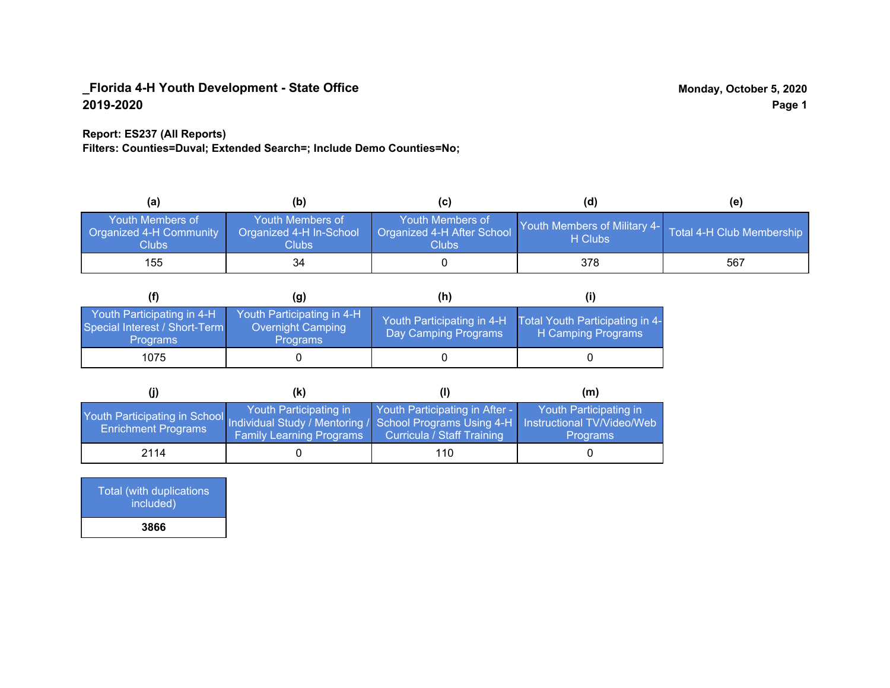### **Report: ES237 (All Reports)**

**Filters: Counties=Duval; Extended Search=; Include Demo Counties=No;**

| (a)                                                                | (b)                                                   | (C)                                                       | (d)                                     | (e)                       |
|--------------------------------------------------------------------|-------------------------------------------------------|-----------------------------------------------------------|-----------------------------------------|---------------------------|
| <b>Youth Members of</b><br>Organized 4-H Community<br><b>Clubs</b> | Youth Members of<br>Organized 4-H In-School<br>Clubs: | Youth Members of<br>Organized 4-H After School<br>Clubs : | Youth Members of Military 4-<br>H Clubs | Total 4-H Club Membership |
| 155                                                                | 34                                                    |                                                           | 378                                     | 567                       |

|                                                                                | (g)                                                                | (h)                                                |                                                       |
|--------------------------------------------------------------------------------|--------------------------------------------------------------------|----------------------------------------------------|-------------------------------------------------------|
| Youth Participating in 4-H<br>Special Interest / Short-Term<br><b>Programs</b> | Youth Participating in 4-H<br>Overnight Camping<br><b>Programs</b> | Youth Participating in 4-H<br>Day Camping Programs | Total Youth Participating in 4-<br>H Camping Programs |
| 1075                                                                           |                                                                    |                                                    |                                                       |

|                                                                                                                                                 | (k)                                                       |                                                                     | (m)                                       |
|-------------------------------------------------------------------------------------------------------------------------------------------------|-----------------------------------------------------------|---------------------------------------------------------------------|-------------------------------------------|
| Youth Participating in School Individual Study / Mentoring / School Programs Using 4-H Instructional TV/Video/Web<br><b>Enrichment Programs</b> | Youth Participating in<br><b>Family Learning Programs</b> | Youth Participating in After -<br><b>Curricula / Staff Training</b> | Youth Participating in<br><b>Programs</b> |
| 2114                                                                                                                                            |                                                           | 110                                                                 |                                           |

| Total (with duplications<br>included) |
|---------------------------------------|
| 3866                                  |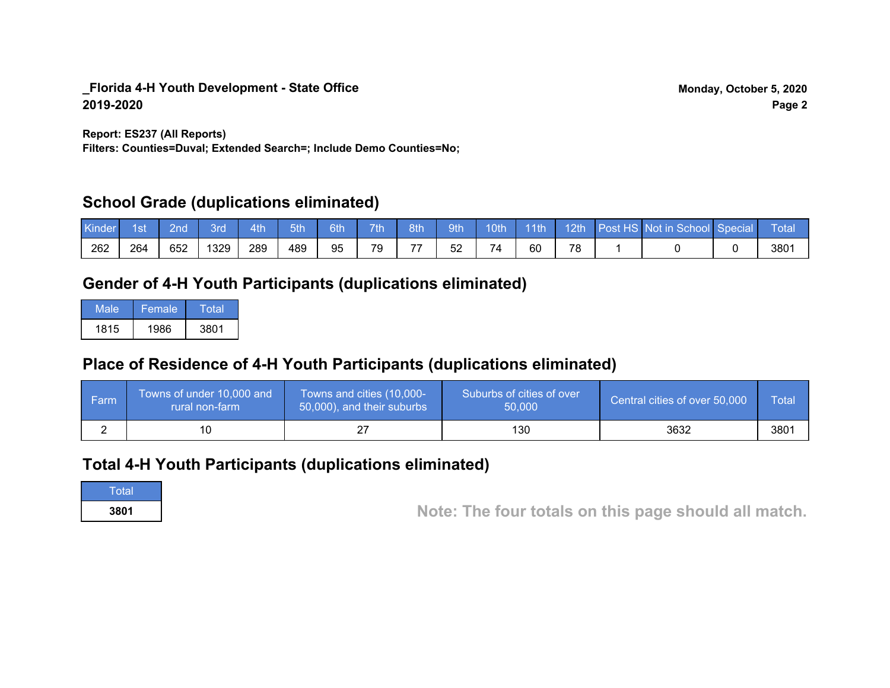**Report: ES237 (All Reports)**

**Filters: Counties=Duval; Extended Search=; Include Demo Counties=No;**

## **School Grade (duplications eliminated)**

| Kinde | 1st | 2nd | Brd  | 4th | 5th | 6th | <b>7th</b> | 8th | 9th | 10th | $-11$ th | 12th    | Post HS Not in School Special | Total |
|-------|-----|-----|------|-----|-----|-----|------------|-----|-----|------|----------|---------|-------------------------------|-------|
| 262   | 264 | 652 | '329 | 289 | 489 | 95  | 79         | --  | 52  | 74   | 60       | 70<br>O |                               | 3801  |

# **Gender of 4-H Youth Participants (duplications eliminated)**

| Male | Female | Total |
|------|--------|-------|
| 1815 | 1986   | 3801  |

# **Place of Residence of 4-H Youth Participants (duplications eliminated)**

| ∣ Farm | Towns of under 10,000 and<br>rural non-farm | Towns and cities (10,000-<br>50,000), and their suburbs | Suburbs of cities of over<br>50,000 | Central cities of over 50,000 | Total |
|--------|---------------------------------------------|---------------------------------------------------------|-------------------------------------|-------------------------------|-------|
|        |                                             |                                                         | 130                                 | 3632                          | 3801  |

# **Total 4-H Youth Participants (duplications eliminated)**

**Total** 

**<sup>3801</sup> Note: The four totals on this page should all match.**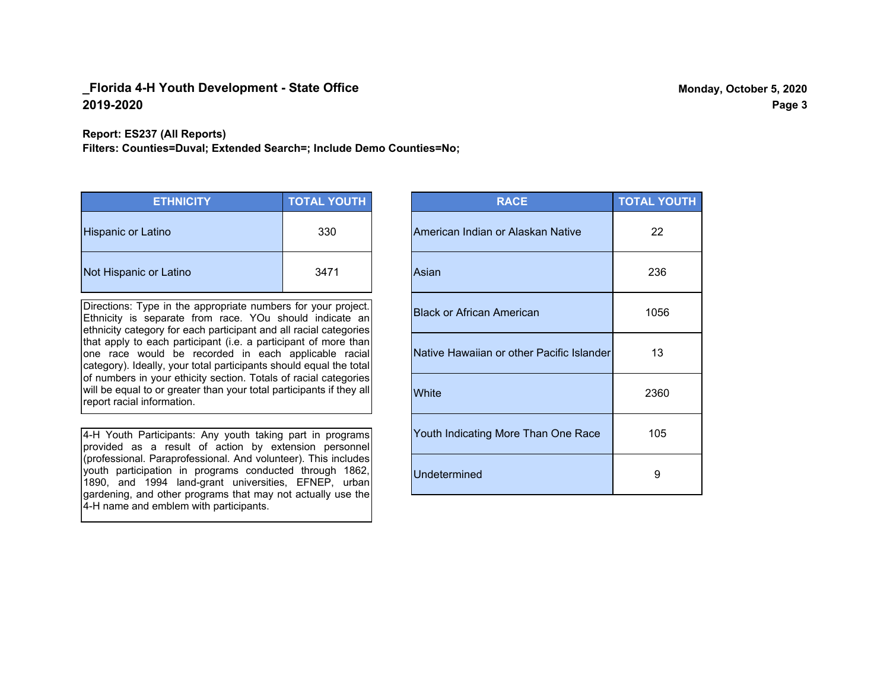**Report: ES237 (All Reports)**

**Filters: Counties=Duval; Extended Search=; Include Demo Counties=No;**

| <b>ETHNICITY</b>          | <b>TOTAL YOUTH</b> |
|---------------------------|--------------------|
| <b>Hispanic or Latino</b> | 330                |
| Not Hispanic or Latino    | 3471               |

Directions: Type in the appropriate numbers for your project. Ethnicity is separate from race. YOu should indicate an ethnicity category for each participant and all racial categories that apply to each participant (i.e. a participant of more than one race would be recorded in each applicable racial category). Ideally, your total participants should equal the total of numbers in your ethicity section. Totals of racial categories will be equal to or greater than your total participants if they all report racial information.

4-H Youth Participants: Any youth taking part in programs provided as a result of action by extension personnel (professional. Paraprofessional. And volunteer). This includes youth participation in programs conducted through 1862, 1890, and 1994 land-grant universities, EFNEP, urban gardening, and other programs that may not actually use the 4-H name and emblem with participants.

| <b>RACE</b>                               | <b>TOTAL YOUTH</b> |
|-------------------------------------------|--------------------|
| American Indian or Alaskan Native         | 22                 |
| Asian                                     | 236                |
| <b>Black or African American</b>          | 1056               |
| Native Hawaiian or other Pacific Islander | 13                 |
| White                                     | 2360               |
| Youth Indicating More Than One Race       | 105                |
| <b>Undetermined</b>                       | 9                  |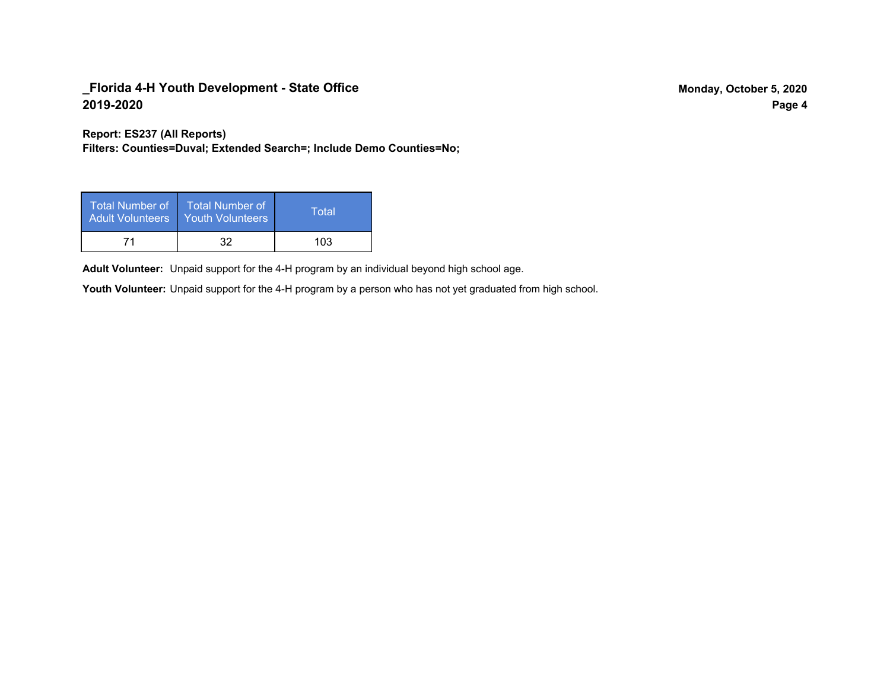**Report: ES237 (All Reports)**

**Filters: Counties=Duval; Extended Search=; Include Demo Counties=No;**

| Total Number of<br>Adult Volunteers | <b>Total Number of</b><br><b>Youth Volunteers</b> | Total |
|-------------------------------------|---------------------------------------------------|-------|
| 71                                  | 32                                                | 103   |

Adult Volunteer: Unpaid support for the 4-H program by an individual beyond high school age.

Youth Volunteer: Unpaid support for the 4-H program by a person who has not yet graduated from high school.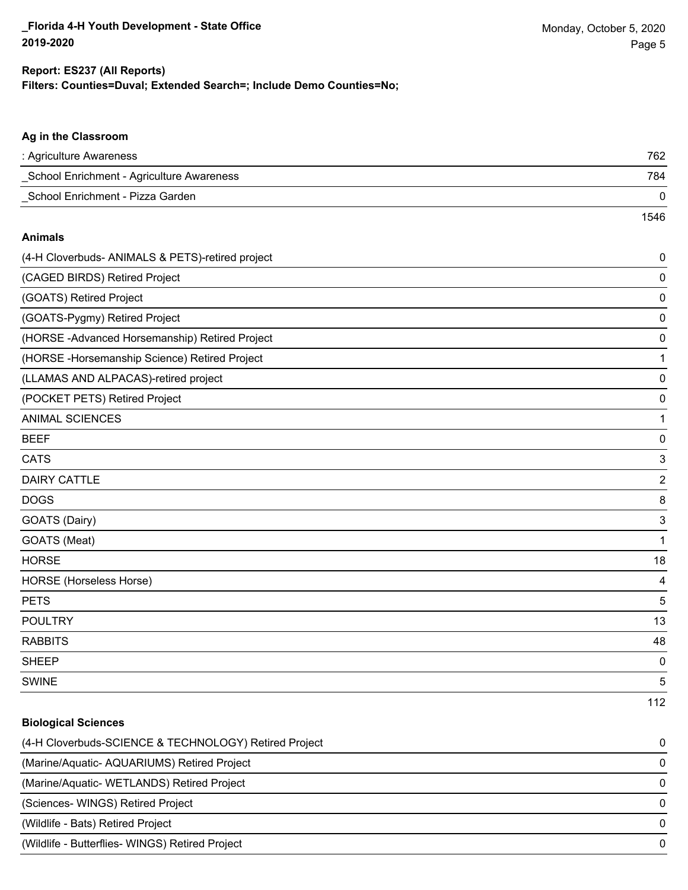#### **Ag in the Classroom**

| : Agriculture Awareness                   | 762  |
|-------------------------------------------|------|
| School Enrichment - Agriculture Awareness | 784  |
| School Enrichment - Pizza Garden          |      |
|                                           | 1546 |

#### **Animals**

| (4-H Cloverbuds- ANIMALS & PETS)-retired project | 0              |
|--------------------------------------------------|----------------|
| (CAGED BIRDS) Retired Project                    | 0              |
| (GOATS) Retired Project                          | 0              |
| (GOATS-Pygmy) Retired Project                    | 0              |
| (HORSE-Advanced Horsemanship) Retired Project    | 0              |
| (HORSE - Horsemanship Science) Retired Project   | 1              |
| (LLAMAS AND ALPACAS)-retired project             | 0              |
| (POCKET PETS) Retired Project                    | 0              |
| <b>ANIMAL SCIENCES</b>                           | 1              |
| <b>BEEF</b>                                      | 0              |
| <b>CATS</b>                                      | 3              |
| <b>DAIRY CATTLE</b>                              | $\overline{2}$ |
| <b>DOGS</b>                                      | 8              |
| GOATS (Dairy)                                    | 3              |
| GOATS (Meat)                                     | $\mathbf{1}$   |
| <b>HORSE</b>                                     | 18             |
| <b>HORSE</b> (Horseless Horse)                   | 4              |
| <b>PETS</b>                                      | 5              |
| <b>POULTRY</b>                                   | 13             |
| <b>RABBITS</b>                                   | 48             |
| <b>SHEEP</b>                                     | 0              |
| <b>SWINE</b>                                     | 5              |
|                                                  | 112            |

### **Biological Sciences**

| (4-H Cloverbuds-SCIENCE & TECHNOLOGY) Retired Project | $\Omega$ |
|-------------------------------------------------------|----------|
| (Marine/Aquatic-AQUARIUMS) Retired Project            | $\Omega$ |
| (Marine/Aquatic-WETLANDS) Retired Project             | $\Omega$ |
| (Sciences- WINGS) Retired Project                     | $\Omega$ |
| (Wildlife - Bats) Retired Project                     | $\Omega$ |
| (Wildlife - Butterflies- WINGS) Retired Project       | $\Omega$ |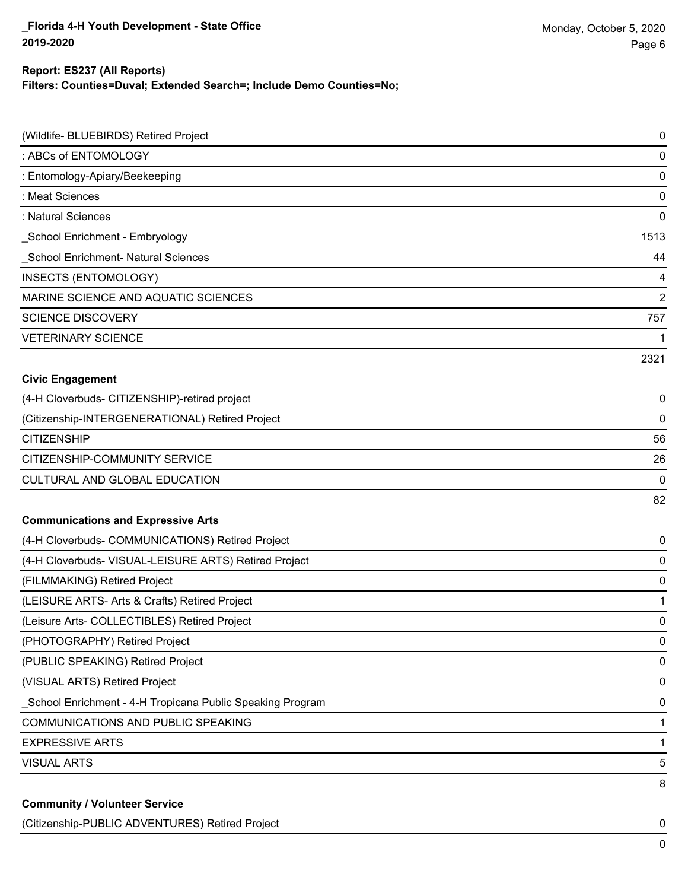#### **Report: ES237 (All Reports)**

**Filters: Counties=Duval; Extended Search=; Include Demo Counties=No;**

| (Wildlife- BLUEBIRDS) Retired Project                      | 0              |
|------------------------------------------------------------|----------------|
| : ABCs of ENTOMOLOGY                                       | 0              |
| : Entomology-Apiary/Beekeeping                             | 0              |
| : Meat Sciences                                            | 0              |
| : Natural Sciences                                         | 0              |
| _School Enrichment - Embryology                            | 1513           |
| School Enrichment- Natural Sciences                        | 44             |
| INSECTS (ENTOMOLOGY)                                       | 4              |
| MARINE SCIENCE AND AQUATIC SCIENCES                        | $\overline{2}$ |
| <b>SCIENCE DISCOVERY</b>                                   | 757            |
| <b>VETERINARY SCIENCE</b>                                  | 1              |
|                                                            | 2321           |
| <b>Civic Engagement</b>                                    |                |
| (4-H Cloverbuds- CITIZENSHIP)-retired project              | 0              |
| (Citizenship-INTERGENERATIONAL) Retired Project            | 0              |
| <b>CITIZENSHIP</b>                                         | 56             |
| CITIZENSHIP-COMMUNITY SERVICE                              | 26             |
| CULTURAL AND GLOBAL EDUCATION                              | 0              |
|                                                            | 82             |
| <b>Communications and Expressive Arts</b>                  |                |
| (4-H Cloverbuds- COMMUNICATIONS) Retired Project           | 0              |
| (4-H Cloverbuds- VISUAL-LEISURE ARTS) Retired Project      | 0              |
| (FILMMAKING) Retired Project                               | 0              |
| (LEISURE ARTS- Arts & Crafts) Retired Project              | 1              |
| (Leisure Arts- COLLECTIBLES) Retired Project               | 0              |
| (PHOTOGRAPHY) Retired Project                              | 0              |
| (PUBLIC SPEAKING) Retired Project                          | 0              |
| (VISUAL ARTS) Retired Project                              | 0              |
| _School Enrichment - 4-H Tropicana Public Speaking Program | 0              |
| <b>COMMUNICATIONS AND PUBLIC SPEAKING</b>                  | 1              |
| <b>EXPRESSIVE ARTS</b>                                     | 1              |
| <b>VISUAL ARTS</b>                                         | 5              |
| <b>Community / Volunteer Service</b>                       | 8              |

(Citizenship-PUBLIC ADVENTURES) Retired Project 0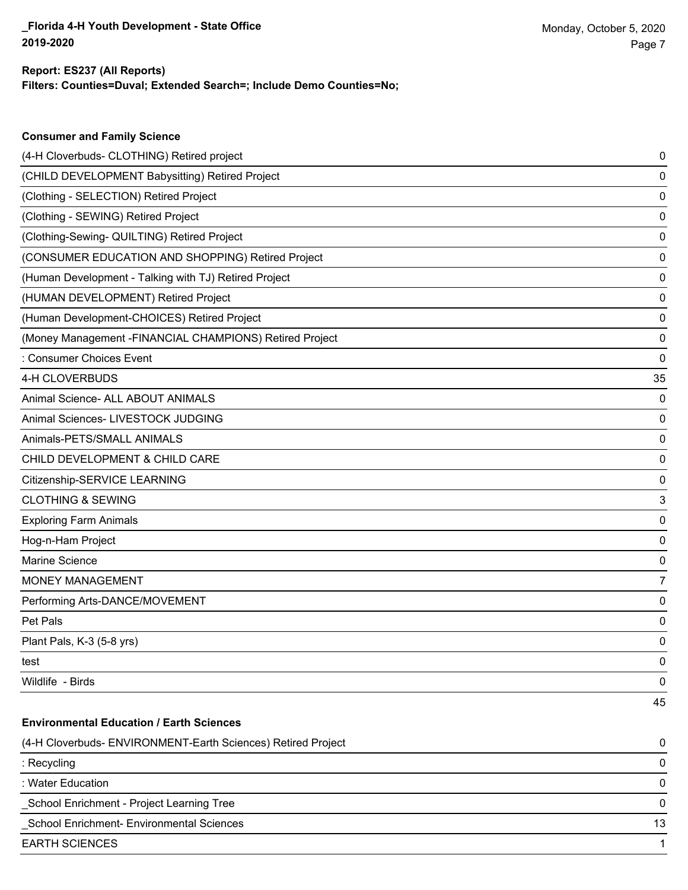## **Report: ES237 (All Reports)**

**Consumer and Family Science**

**Filters: Counties=Duval; Extended Search=; Include Demo Counties=No;**

| (4-H Cloverbuds- CLOTHING) Retired project                   | 0  |
|--------------------------------------------------------------|----|
| (CHILD DEVELOPMENT Babysitting) Retired Project              | 0  |
| (Clothing - SELECTION) Retired Project                       | 0  |
| (Clothing - SEWING) Retired Project                          | 0  |
| (Clothing-Sewing- QUILTING) Retired Project                  | 0  |
| (CONSUMER EDUCATION AND SHOPPING) Retired Project            | 0  |
| (Human Development - Talking with TJ) Retired Project        | 0  |
| (HUMAN DEVELOPMENT) Retired Project                          | 0  |
| (Human Development-CHOICES) Retired Project                  | 0  |
| (Money Management -FINANCIAL CHAMPIONS) Retired Project      | 0  |
| : Consumer Choices Event                                     | 0  |
| 4-H CLOVERBUDS                                               | 35 |
| Animal Science- ALL ABOUT ANIMALS                            | 0  |
| Animal Sciences- LIVESTOCK JUDGING                           | 0  |
| Animals-PETS/SMALL ANIMALS                                   | 0  |
| CHILD DEVELOPMENT & CHILD CARE                               | 0  |
| Citizenship-SERVICE LEARNING                                 | 0  |
| <b>CLOTHING &amp; SEWING</b>                                 | 3  |
| <b>Exploring Farm Animals</b>                                | 0  |
| Hog-n-Ham Project                                            | 0  |
| Marine Science                                               | 0  |
| <b>MONEY MANAGEMENT</b>                                      | 7  |
| Performing Arts-DANCE/MOVEMENT                               | 0  |
| Pet Pals                                                     | 0  |
| Plant Pals, K-3 (5-8 yrs)                                    | 0  |
| test                                                         | 0  |
| Wildlife - Birds                                             | 0  |
|                                                              | 45 |
| <b>Environmental Education / Earth Sciences</b>              |    |
| (4-H Cloverbuds- ENVIRONMENT-Earth Sciences) Retired Project | 0  |
| : Recycling                                                  | 0  |
| : Water Education                                            | 0  |
| School Enrichment - Project Learning Tree                    | 0  |
| School Enrichment- Environmental Sciences                    | 13 |
| <b>EARTH SCIENCES</b>                                        |    |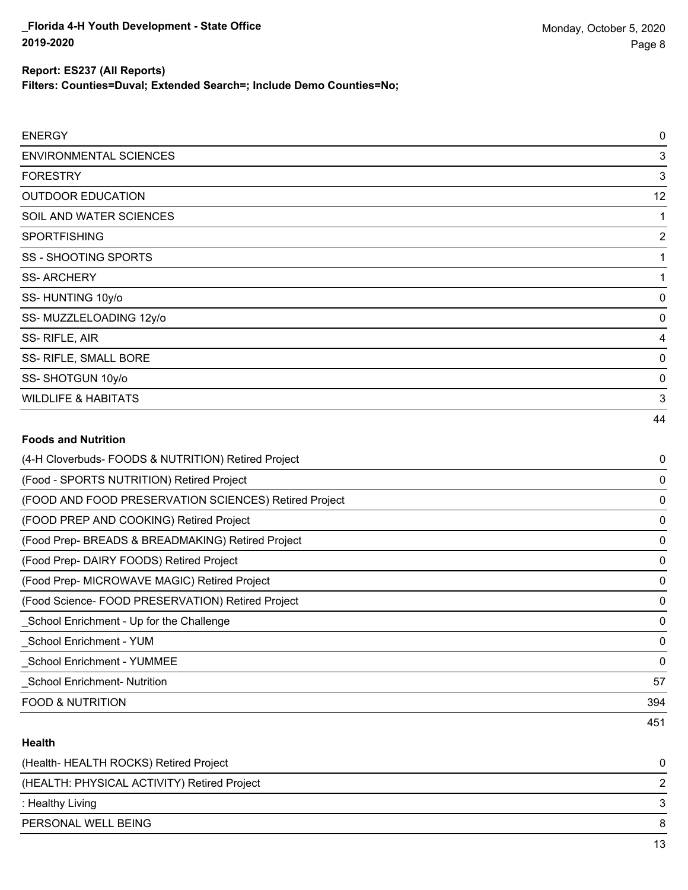**Filters: Counties=Duval; Extended Search=; Include Demo Counties=No;**

| <b>ENERGY</b>                                         | $\mathbf 0$ |
|-------------------------------------------------------|-------------|
| <b>ENVIRONMENTAL SCIENCES</b>                         | 3           |
| <b>FORESTRY</b>                                       | 3           |
| <b>OUTDOOR EDUCATION</b>                              | 12          |
| SOIL AND WATER SCIENCES                               | 1           |
| <b>SPORTFISHING</b>                                   | 2           |
| <b>SS - SHOOTING SPORTS</b>                           | 1           |
| <b>SS-ARCHERY</b>                                     | 1           |
| SS-HUNTING 10y/o                                      | 0           |
| SS-MUZZLELOADING 12y/o                                | 0           |
| SS-RIFLE, AIR                                         | 4           |
| SS- RIFLE, SMALL BORE                                 | 0           |
| SS-SHOTGUN 10y/o                                      | 0           |
| <b>WILDLIFE &amp; HABITATS</b>                        | 3           |
|                                                       | 44          |
| <b>Foods and Nutrition</b>                            |             |
| (4-H Cloverbuds- FOODS & NUTRITION) Retired Project   | 0           |
| (Food - SPORTS NUTRITION) Retired Project             | $\Omega$    |
| (FOOD AND FOOD PRESERVATION SCIENCES) Retired Project | 0           |
| (FOOD PREP AND COOKING) Retired Project               | 0           |
| (Food Prep- BREADS & BREADMAKING) Retired Project     | 0           |

(Food Prep- DAIRY FOODS) Retired Project 0

(Food Prep- MICROWAVE MAGIC) Retired Project 0

(Food Science- FOOD PRESERVATION) Retired Project 0 \_School Enrichment - Up for the Challenge 0

\_School Enrichment - YUM 0

\_School Enrichment - YUMMEE 0

\_School Enrichment- Nutrition 57

FOOD & NUTRITION 394

### **Health**

| (Health-HEALTH ROCKS) Retired Project       |   |
|---------------------------------------------|---|
| (HEALTH: PHYSICAL ACTIVITY) Retired Project |   |
| : Healthy Living                            | 2 |
| PERSONAL WELL BEING                         |   |
|                                             |   |

451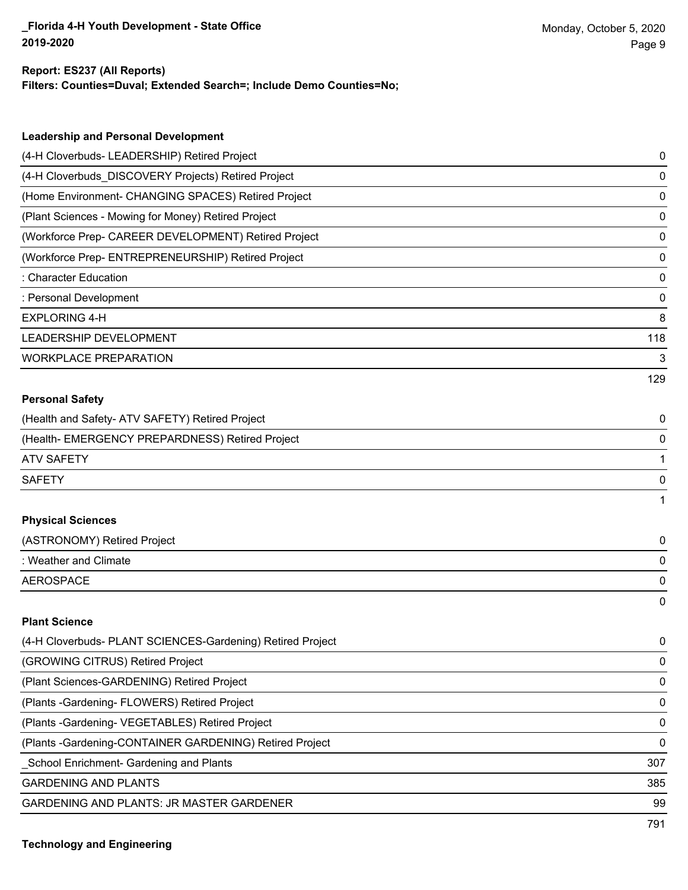#### **Report: ES237 (All Reports)**

**Filters: Counties=Duval; Extended Search=; Include Demo Counties=No;**

| <b>Leadership and Personal Development</b>                 |     |
|------------------------------------------------------------|-----|
| (4-H Cloverbuds- LEADERSHIP) Retired Project               | 0   |
| (4-H Cloverbuds_DISCOVERY Projects) Retired Project        | 0   |
| (Home Environment- CHANGING SPACES) Retired Project        | 0   |
| (Plant Sciences - Mowing for Money) Retired Project        | 0   |
| (Workforce Prep- CAREER DEVELOPMENT) Retired Project       | 0   |
| (Workforce Prep- ENTREPRENEURSHIP) Retired Project         | 0   |
| : Character Education                                      | 0   |
| : Personal Development                                     | 0   |
| <b>EXPLORING 4-H</b>                                       | 8   |
| LEADERSHIP DEVELOPMENT                                     | 118 |
| <b>WORKPLACE PREPARATION</b>                               | 3   |
|                                                            | 129 |
| <b>Personal Safety</b>                                     |     |
| (Health and Safety- ATV SAFETY) Retired Project            | 0   |
| (Health- EMERGENCY PREPARDNESS) Retired Project            | 0   |
| <b>ATV SAFETY</b>                                          | 1   |
| <b>SAFETY</b>                                              | 0   |
|                                                            | 1   |
| <b>Physical Sciences</b>                                   |     |
| (ASTRONOMY) Retired Project                                | 0   |
| : Weather and Climate                                      | 0   |
| <b>AEROSPACE</b>                                           | 0   |
|                                                            | 0   |
| <b>Plant Science</b>                                       |     |
| (4-H Cloverbuds- PLANT SCIENCES-Gardening) Retired Project | 0   |
| (GROWING CITRUS) Retired Project                           | 0   |
| (Plant Sciences-GARDENING) Retired Project                 | 0   |
| (Plants - Gardening - FLOWERS) Retired Project             | 0   |
| (Plants - Gardening - VEGETABLES) Retired Project          | 0   |
| (Plants - Gardening-CONTAINER GARDENING) Retired Project   | 0   |
| School Enrichment- Gardening and Plants                    | 307 |
| <b>GARDENING AND PLANTS</b>                                | 385 |